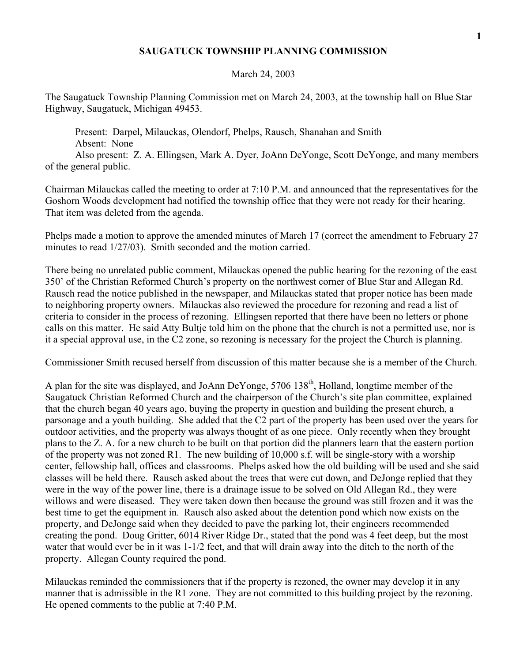## **SAUGATUCK TOWNSHIP PLANNING COMMISSION**

## March 24, 2003

The Saugatuck Township Planning Commission met on March 24, 2003, at the township hall on Blue Star Highway, Saugatuck, Michigan 49453.

 Present: Darpel, Milauckas, Olendorf, Phelps, Rausch, Shanahan and Smith Absent: None

 Also present: Z. A. Ellingsen, Mark A. Dyer, JoAnn DeYonge, Scott DeYonge, and many members of the general public.

Chairman Milauckas called the meeting to order at 7:10 P.M. and announced that the representatives for the Goshorn Woods development had notified the township office that they were not ready for their hearing. That item was deleted from the agenda.

Phelps made a motion to approve the amended minutes of March 17 (correct the amendment to February 27 minutes to read 1/27/03). Smith seconded and the motion carried.

There being no unrelated public comment, Milauckas opened the public hearing for the rezoning of the east 350' of the Christian Reformed Church's property on the northwest corner of Blue Star and Allegan Rd. Rausch read the notice published in the newspaper, and Milauckas stated that proper notice has been made to neighboring property owners. Milauckas also reviewed the procedure for rezoning and read a list of criteria to consider in the process of rezoning. Ellingsen reported that there have been no letters or phone calls on this matter. He said Atty Bultje told him on the phone that the church is not a permitted use, nor is it a special approval use, in the C2 zone, so rezoning is necessary for the project the Church is planning.

Commissioner Smith recused herself from discussion of this matter because she is a member of the Church.

A plan for the site was displayed, and JoAnn DeYonge, 5706 138<sup>th</sup>, Holland, longtime member of the Saugatuck Christian Reformed Church and the chairperson of the Church's site plan committee, explained that the church began 40 years ago, buying the property in question and building the present church, a parsonage and a youth building. She added that the C2 part of the property has been used over the years for outdoor activities, and the property was always thought of as one piece. Only recently when they brought plans to the Z. A. for a new church to be built on that portion did the planners learn that the eastern portion of the property was not zoned R1. The new building of 10,000 s.f. will be single-story with a worship center, fellowship hall, offices and classrooms. Phelps asked how the old building will be used and she said classes will be held there. Rausch asked about the trees that were cut down, and DeJonge replied that they were in the way of the power line, there is a drainage issue to be solved on Old Allegan Rd., they were willows and were diseased. They were taken down then because the ground was still frozen and it was the best time to get the equipment in. Rausch also asked about the detention pond which now exists on the property, and DeJonge said when they decided to pave the parking lot, their engineers recommended creating the pond. Doug Gritter, 6014 River Ridge Dr., stated that the pond was 4 feet deep, but the most water that would ever be in it was 1-1/2 feet, and that will drain away into the ditch to the north of the property. Allegan County required the pond.

Milauckas reminded the commissioners that if the property is rezoned, the owner may develop it in any manner that is admissible in the R1 zone. They are not committed to this building project by the rezoning. He opened comments to the public at 7:40 P.M.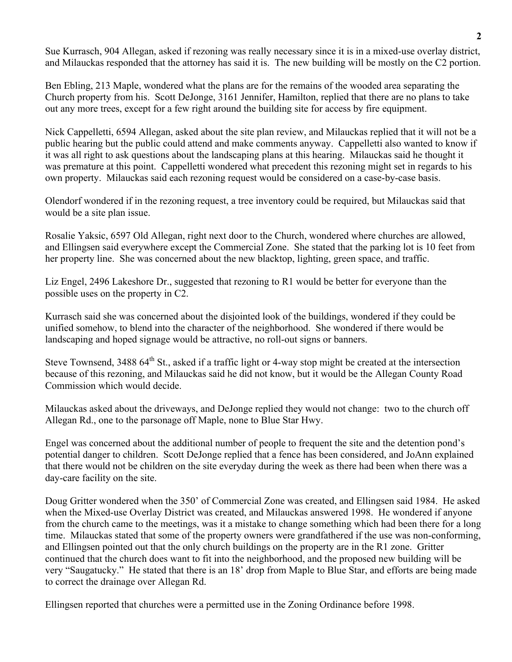Sue Kurrasch, 904 Allegan, asked if rezoning was really necessary since it is in a mixed-use overlay district, and Milauckas responded that the attorney has said it is. The new building will be mostly on the C2 portion.

Ben Ebling, 213 Maple, wondered what the plans are for the remains of the wooded area separating the Church property from his. Scott DeJonge, 3161 Jennifer, Hamilton, replied that there are no plans to take out any more trees, except for a few right around the building site for access by fire equipment.

Nick Cappelletti, 6594 Allegan, asked about the site plan review, and Milauckas replied that it will not be a public hearing but the public could attend and make comments anyway. Cappelletti also wanted to know if it was all right to ask questions about the landscaping plans at this hearing. Milauckas said he thought it was premature at this point. Cappelletti wondered what precedent this rezoning might set in regards to his own property. Milauckas said each rezoning request would be considered on a case-by-case basis.

Olendorf wondered if in the rezoning request, a tree inventory could be required, but Milauckas said that would be a site plan issue.

Rosalie Yaksic, 6597 Old Allegan, right next door to the Church, wondered where churches are allowed, and Ellingsen said everywhere except the Commercial Zone. She stated that the parking lot is 10 feet from her property line. She was concerned about the new blacktop, lighting, green space, and traffic.

Liz Engel, 2496 Lakeshore Dr., suggested that rezoning to R1 would be better for everyone than the possible uses on the property in C2.

Kurrasch said she was concerned about the disjointed look of the buildings, wondered if they could be unified somehow, to blend into the character of the neighborhood. She wondered if there would be landscaping and hoped signage would be attractive, no roll-out signs or banners.

Steve Townsend, 3488 64<sup>th</sup> St., asked if a traffic light or 4-way stop might be created at the intersection because of this rezoning, and Milauckas said he did not know, but it would be the Allegan County Road Commission which would decide.

Milauckas asked about the driveways, and DeJonge replied they would not change: two to the church off Allegan Rd., one to the parsonage off Maple, none to Blue Star Hwy.

Engel was concerned about the additional number of people to frequent the site and the detention pond's potential danger to children. Scott DeJonge replied that a fence has been considered, and JoAnn explained that there would not be children on the site everyday during the week as there had been when there was a day-care facility on the site.

Doug Gritter wondered when the 350' of Commercial Zone was created, and Ellingsen said 1984. He asked when the Mixed-use Overlay District was created, and Milauckas answered 1998. He wondered if anyone from the church came to the meetings, was it a mistake to change something which had been there for a long time. Milauckas stated that some of the property owners were grandfathered if the use was non-conforming, and Ellingsen pointed out that the only church buildings on the property are in the R1 zone. Gritter continued that the church does want to fit into the neighborhood, and the proposed new building will be very "Saugatucky." He stated that there is an 18' drop from Maple to Blue Star, and efforts are being made to correct the drainage over Allegan Rd.

Ellingsen reported that churches were a permitted use in the Zoning Ordinance before 1998.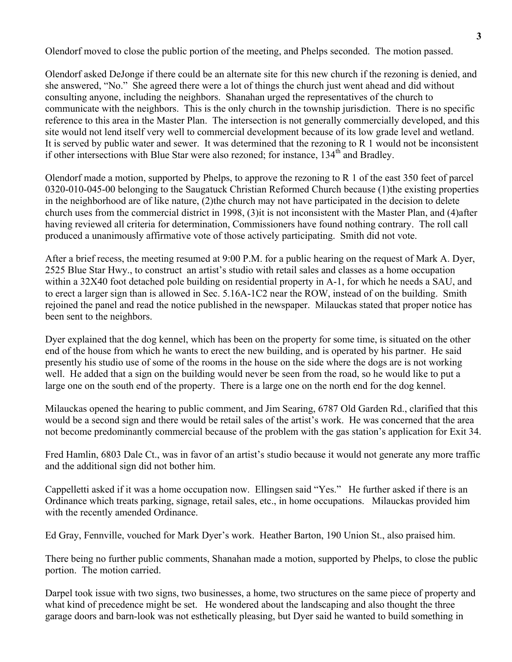Olendorf moved to close the public portion of the meeting, and Phelps seconded. The motion passed.

Olendorf asked DeJonge if there could be an alternate site for this new church if the rezoning is denied, and she answered, "No." She agreed there were a lot of things the church just went ahead and did without consulting anyone, including the neighbors. Shanahan urged the representatives of the church to communicate with the neighbors. This is the only church in the township jurisdiction. There is no specific reference to this area in the Master Plan. The intersection is not generally commercially developed, and this site would not lend itself very well to commercial development because of its low grade level and wetland. It is served by public water and sewer. It was determined that the rezoning to R 1 would not be inconsistent if other intersections with Blue Star were also rezoned; for instance, 134<sup>th</sup> and Bradley.

Olendorf made a motion, supported by Phelps, to approve the rezoning to R 1 of the east 350 feet of parcel 0320-010-045-00 belonging to the Saugatuck Christian Reformed Church because (1)the existing properties in the neighborhood are of like nature, (2)the church may not have participated in the decision to delete church uses from the commercial district in 1998, (3)it is not inconsistent with the Master Plan, and (4)after having reviewed all criteria for determination, Commissioners have found nothing contrary. The roll call produced a unanimously affirmative vote of those actively participating. Smith did not vote.

After a brief recess, the meeting resumed at 9:00 P.M. for a public hearing on the request of Mark A. Dyer, 2525 Blue Star Hwy., to construct an artist's studio with retail sales and classes as a home occupation within a 32X40 foot detached pole building on residential property in A-1, for which he needs a SAU, and to erect a larger sign than is allowed in Sec. 5.16A-1C2 near the ROW, instead of on the building. Smith rejoined the panel and read the notice published in the newspaper. Milauckas stated that proper notice has been sent to the neighbors.

Dyer explained that the dog kennel, which has been on the property for some time, is situated on the other end of the house from which he wants to erect the new building, and is operated by his partner. He said presently his studio use of some of the rooms in the house on the side where the dogs are is not working well. He added that a sign on the building would never be seen from the road, so he would like to put a large one on the south end of the property. There is a large one on the north end for the dog kennel.

Milauckas opened the hearing to public comment, and Jim Searing, 6787 Old Garden Rd., clarified that this would be a second sign and there would be retail sales of the artist's work. He was concerned that the area not become predominantly commercial because of the problem with the gas station's application for Exit 34.

Fred Hamlin, 6803 Dale Ct., was in favor of an artist's studio because it would not generate any more traffic and the additional sign did not bother him.

Cappelletti asked if it was a home occupation now. Ellingsen said "Yes." He further asked if there is an Ordinance which treats parking, signage, retail sales, etc., in home occupations. Milauckas provided him with the recently amended Ordinance.

Ed Gray, Fennville, vouched for Mark Dyer's work. Heather Barton, 190 Union St., also praised him.

There being no further public comments, Shanahan made a motion, supported by Phelps, to close the public portion. The motion carried.

Darpel took issue with two signs, two businesses, a home, two structures on the same piece of property and what kind of precedence might be set. He wondered about the landscaping and also thought the three garage doors and barn-look was not esthetically pleasing, but Dyer said he wanted to build something in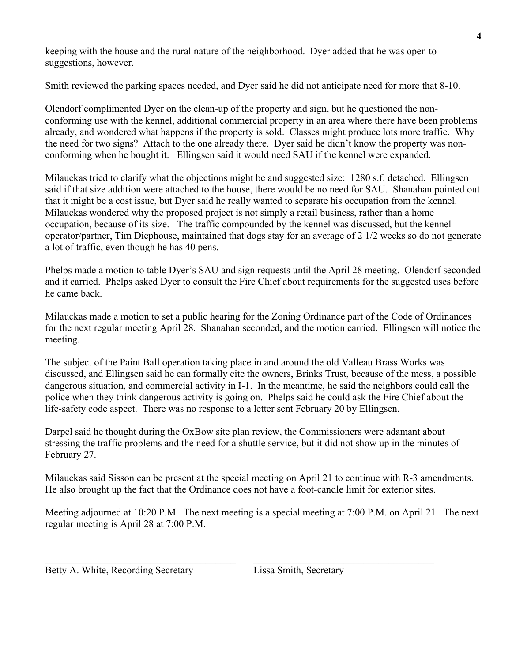keeping with the house and the rural nature of the neighborhood. Dyer added that he was open to suggestions, however.

Smith reviewed the parking spaces needed, and Dyer said he did not anticipate need for more that 8-10.

Olendorf complimented Dyer on the clean-up of the property and sign, but he questioned the nonconforming use with the kennel, additional commercial property in an area where there have been problems already, and wondered what happens if the property is sold. Classes might produce lots more traffic. Why the need for two signs? Attach to the one already there. Dyer said he didn't know the property was nonconforming when he bought it. Ellingsen said it would need SAU if the kennel were expanded.

Milauckas tried to clarify what the objections might be and suggested size: 1280 s.f. detached. Ellingsen said if that size addition were attached to the house, there would be no need for SAU. Shanahan pointed out that it might be a cost issue, but Dyer said he really wanted to separate his occupation from the kennel. Milauckas wondered why the proposed project is not simply a retail business, rather than a home occupation, because of its size. The traffic compounded by the kennel was discussed, but the kennel operator/partner, Tim Diephouse, maintained that dogs stay for an average of 2 1/2 weeks so do not generate a lot of traffic, even though he has 40 pens.

Phelps made a motion to table Dyer's SAU and sign requests until the April 28 meeting. Olendorf seconded and it carried. Phelps asked Dyer to consult the Fire Chief about requirements for the suggested uses before he came back.

Milauckas made a motion to set a public hearing for the Zoning Ordinance part of the Code of Ordinances for the next regular meeting April 28. Shanahan seconded, and the motion carried. Ellingsen will notice the meeting.

The subject of the Paint Ball operation taking place in and around the old Valleau Brass Works was discussed, and Ellingsen said he can formally cite the owners, Brinks Trust, because of the mess, a possible dangerous situation, and commercial activity in I-1. In the meantime, he said the neighbors could call the police when they think dangerous activity is going on. Phelps said he could ask the Fire Chief about the life-safety code aspect. There was no response to a letter sent February 20 by Ellingsen.

Darpel said he thought during the OxBow site plan review, the Commissioners were adamant about stressing the traffic problems and the need for a shuttle service, but it did not show up in the minutes of February 27.

Milauckas said Sisson can be present at the special meeting on April 21 to continue with R-3 amendments. He also brought up the fact that the Ordinance does not have a foot-candle limit for exterior sites.

Meeting adjourned at 10:20 P.M. The next meeting is a special meeting at 7:00 P.M. on April 21. The next regular meeting is April 28 at 7:00 P.M.

 $\_$  , and the contribution of the contribution of  $\mathcal{L}_\mathcal{A}$  , and the contribution of  $\mathcal{L}_\mathcal{A}$ 

Betty A. White, Recording Secretary Lissa Smith, Secretary